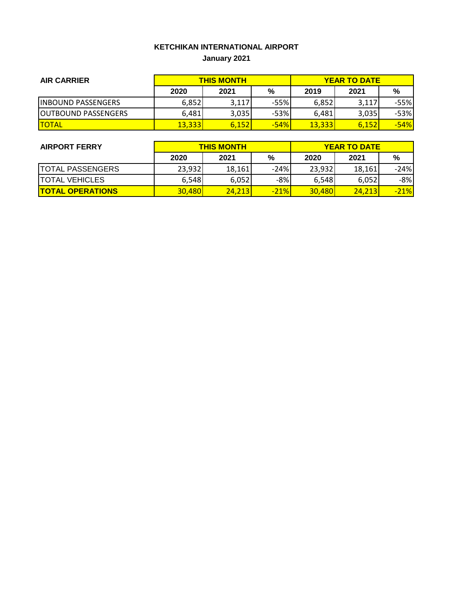## **KETCHIKAN INTERNATIONAL AIRPORT January 2021**

| <b>AIR CARRIER</b>         |        | <b>THIS MONTH</b> | <b>YEAR TO DATE</b> |        |       |        |
|----------------------------|--------|-------------------|---------------------|--------|-------|--------|
|                            | 2020   | 2021              | %                   | 2019   | 2021  | %      |
| <b>INBOUND PASSENGERS</b>  | 6,852  | 3,117             | $-55%$              | 6,852  | 3,117 | -55%   |
| <b>OUTBOUND PASSENGERS</b> | 6,481  | 3,035             | $-53%$              | 6.481  | 3,035 | $-53%$ |
| <b>ITOTAL</b>              | 13,333 | 6,152             | $-54%$              | 13,333 | 6.152 | $-54%$ |

| <b>AIRPORT FERRY</b>    | <b>THIS MONTH</b> |        |        | <b>YEAR TO DATE</b> |        |        |  |
|-------------------------|-------------------|--------|--------|---------------------|--------|--------|--|
|                         | 2020              | 2021   | %      | 2020                | 2021   | %      |  |
| <b>TOTAL PASSENGERS</b> | 23,932            | 18,161 | $-24%$ | 23,932              | 18,161 | $-24%$ |  |
| <b>TOTAL VEHICLES</b>   | 6,548             | 6,052  | $-8%$  | 6,548               | 6,052  | $-8%$  |  |
| <b>TOTAL OPERATIONS</b> | <b>30,480</b>     | 24.213 | $-21%$ | 30.480              | 24.213 | $-21%$ |  |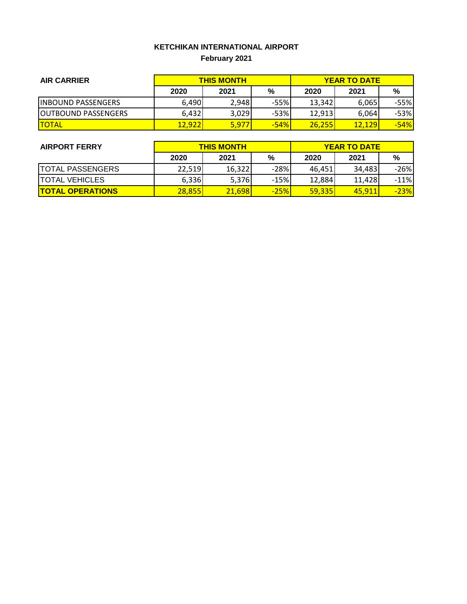# **KETCHIKAN INTERNATIONAL AIRPORT February 2021**

| <b>AIR CARRIER</b>         | <b>THIS MONTH</b> |       |        | <b>YEAR TO DATE</b> |        |        |
|----------------------------|-------------------|-------|--------|---------------------|--------|--------|
|                            | 2020              | 2021  | %      | 2020                | 2021   | %      |
| <b>IINBOUND PASSENGERS</b> | 6,490             | 2,948 | $-55%$ | 13,342              | 6.065  | -55%   |
| <b>OUTBOUND PASSENGERS</b> | 6,432             | 3,029 | $-53%$ | 12.913              | 6.064  | $-53%$ |
| <b>TOTAL</b>               | 12,922            | 5,977 | $-54%$ | 26.255              | 12,129 | $-54%$ |

| <b>AIRPORT FERRY</b>    | <b>THIS MONTH</b> |        |        | <b>YEAR TO DATE</b> |        |        |  |
|-------------------------|-------------------|--------|--------|---------------------|--------|--------|--|
|                         | 2020              | 2021   | %      | 2020                | 2021   | %      |  |
| <b>TOTAL PASSENGERS</b> | 22,519            | 16,322 | $-28%$ | 46.451              | 34,483 | $-26%$ |  |
| <b>TOTAL VEHICLES</b>   | 6,336             | 5,376  | $-15%$ | 12,884              | 11,428 | $-11%$ |  |
| <b>TOTAL OPERATIONS</b> | <b>28,855</b>     | 21,698 | $-25%$ | <b>59,335</b>       | 45.911 | $-23%$ |  |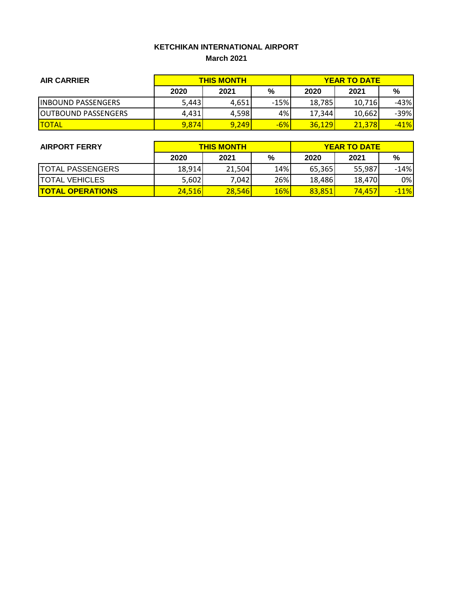#### **KETCHIKAN INTERNATIONAL AIRPORT March 2021**

| <b>AIR CARRIER</b>          | <b>THIS MONTH</b> |       |        | <b>YEAR TO DATE</b> |        |        |
|-----------------------------|-------------------|-------|--------|---------------------|--------|--------|
|                             | 2020              | 2021  | %      | 2020                | 2021   | %      |
| <b>IINBOUND PASSENGERS</b>  | 5,443             | 4,651 | $-15%$ | 18,785              | 10,716 | -43%   |
| <b>JOUTBOUND PASSENGERS</b> | 4.431             | 4,598 | 4%     | 17,344              | 10.662 | $-39%$ |
| <b>ITOTAL</b>               | 9,874             | 9,249 | $-6%$  | <b>36.129</b>       | 21,378 | $-41%$ |

| <b>AIRPORT FERRY</b>    | <b>THIS MONTH</b> |        |            | <b>YEAR TO DATE</b> |        |        |  |
|-------------------------|-------------------|--------|------------|---------------------|--------|--------|--|
|                         | 2020              | 2021   | %          | 2020                | 2021   | %      |  |
| <b>TOTAL PASSENGERS</b> | 18,914            | 21,504 | 14%        | 65,365              | 55.987 | $-14%$ |  |
| <b>TOTAL VEHICLES</b>   | 5,602             | 7,042  | 26%        | 18,486              | 18,470 | 0%     |  |
| <b>TOTAL OPERATIONS</b> | 24,516            | 28,546 | <b>16%</b> | 83,851              | 74.457 | $-11%$ |  |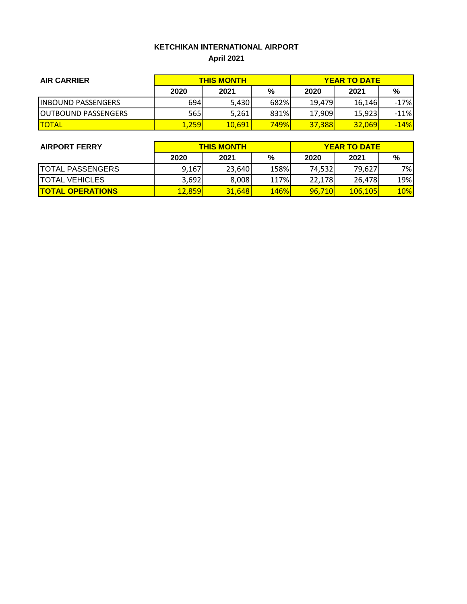# **KETCHIKAN INTERNATIONAL AIRPORT April 2021**

| <b>AIR CARRIER</b>          |       | <b>THIS MONTH</b> | <b>YEAR TO DATE</b> |        |               |        |
|-----------------------------|-------|-------------------|---------------------|--------|---------------|--------|
|                             | 2020  | 2021              | %                   | 2020   | 2021          | %      |
| <b>INBOUND PASSENGERS</b>   | 694   | 5,430             | 682%                | 19.479 | 16.146        | $-17%$ |
| <b>JOUTBOUND PASSENGERS</b> | 565l  | 5,261             | 831%                | 17,909 | 15,923        | $-11%$ |
| <b>TOTAL</b>                | 1,259 | 10,691            | <mark>749%</mark>   | 37,388 | <b>32,069</b> | $-14%$ |

| <b>AIRPORT FERRY</b>    |               | <b>THIS MONTH</b> | <b>YEAR TO DATE</b> |        |          |            |
|-------------------------|---------------|-------------------|---------------------|--------|----------|------------|
|                         | 2020          | 2021              | %                   | 2020   | 2021     | %          |
| <b>TOTAL PASSENGERS</b> | 9,167         | 23,640            | 158%                | 74,532 | 79,627   | 7%         |
| <b>TOTAL VEHICLES</b>   | 3,692         | 8,008             | 117%                | 22.178 | 26,478   | 19%        |
| <b>TOTAL OPERATIONS</b> | <u>12,859</u> | 31,648            | <b>146%</b>         | 96,710 | 106, 105 | <b>10%</b> |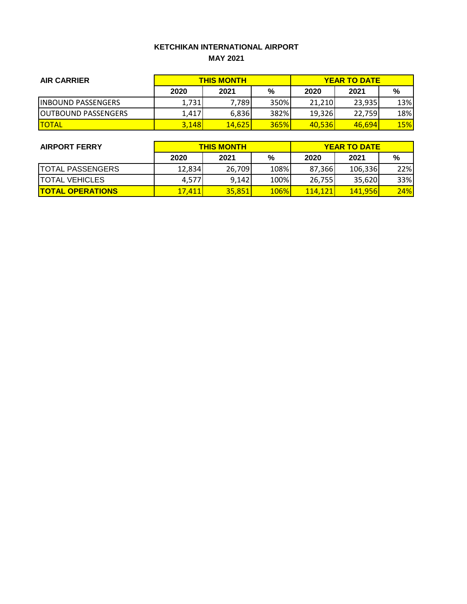#### **KETCHIKAN INTERNATIONAL AIRPORT MAY 2021**

| <b>AIR CARRIER</b>          | <b>THIS MONTH</b> |        |      | <b>YEAR TO DATE</b> |        |            |
|-----------------------------|-------------------|--------|------|---------------------|--------|------------|
|                             | 2020              | 2021   | %    | 2020                | 2021   | %          |
| <b>INBOUND PASSENGERS</b>   | 1,731             | 7.789  | 350% | 21,210              | 23.935 | 13%        |
| <b>JOUTBOUND PASSENGERS</b> | 1,417             | 6,836  | 382% | 19,326              | 22.759 | 18%        |
| <b>ITOTAL</b>               | 3,148             | 14,625 | 365% | 40,536              | 46,694 | <b>15%</b> |

| <b>AIRPORT FERRY</b>    | <b>THIS MONTH</b> |        |             | <b>YEAR TO DATE</b> |         |     |  |
|-------------------------|-------------------|--------|-------------|---------------------|---------|-----|--|
|                         | 2020              | 2021   | %           | 2020                | 2021    | %   |  |
| <b>TOTAL PASSENGERS</b> | 12,834            | 26,709 | 108%        | 87,366              | 106,336 | 22% |  |
| <b>TOTAL VEHICLES</b>   | 4,577             | 9,142  | 100%        | 26,755              | 35,620  | 33% |  |
| <b>TOTAL OPERATIONS</b> | <u>17,411</u>     | 35,851 | <b>106%</b> | 114.121             | 141,956 | 24% |  |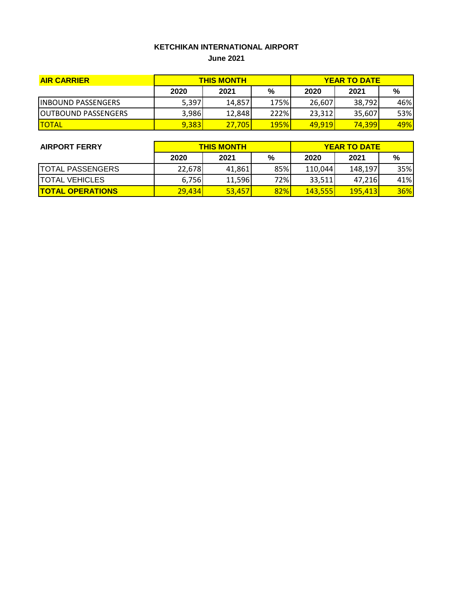# **KETCHIKAN INTERNATIONAL AIRPORT**

**June 2021**

| <b>AIR CARRIER</b>         | <b>THIS MONTH</b> |        |             | <b>YEAR TO DATE</b> |                |     |
|----------------------------|-------------------|--------|-------------|---------------------|----------------|-----|
|                            | 2020              | 2021   | %           | 2020                | 2021           | %   |
| <b>INBOUND PASSENGERS</b>  | 5,397             | 14.857 | 175%        | 26,607              | 38,792         | 46% |
| <b>OUTBOUND PASSENGERS</b> | 3,986             | 12,848 | 222%        | 23,312              | 35.607         | 53% |
| <b>TOTAL</b>               | 9,383             | 27,705 | <b>195%</b> | <b>49.919</b>       | <b>74,3991</b> | 49% |

| <b>AIRPORT FERRY</b>    | <b>THIS MONTH</b> |        |     | <b>YEAR TO DATE</b> |                 |     |  |
|-------------------------|-------------------|--------|-----|---------------------|-----------------|-----|--|
|                         | 2020              | 2021   | %   | 2020                | 2021            | %   |  |
| <b>TOTAL PASSENGERS</b> | 22,678            | 41,861 | 85% | 110,044             | 148.197         | 35% |  |
| <b>TOTAL VEHICLES</b>   | 6.756             | 11,596 | 72% | 33,511              | 47.216          | 41% |  |
| <b>TOTAL OPERATIONS</b> | 29,434            | 53,457 | 82% | <b>143,555</b>      | <b>195.4131</b> | 36% |  |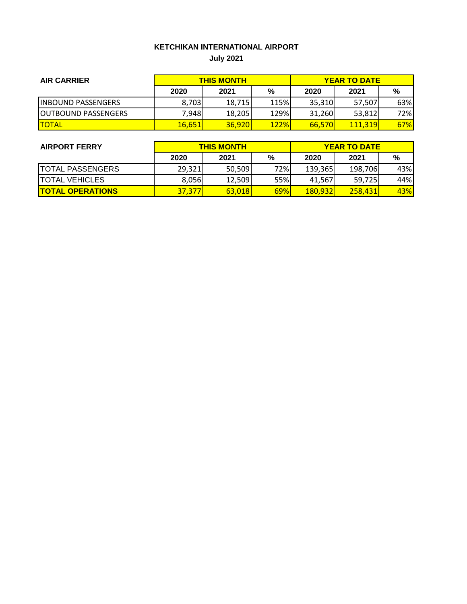## **KETCHIKAN INTERNATIONAL AIRPORT July 2021**

| <b>AIR CARRIER</b>         | <b>THIS MONTH</b> |        |             | <b>YEAR TO DATE</b> |         |            |
|----------------------------|-------------------|--------|-------------|---------------------|---------|------------|
|                            | 2020              | 2021   | %           | 2020                | 2021    | %          |
| <b>IINBOUND PASSENGERS</b> | 8,703             | 18,715 | 115%        | 35,310              | 57,507  | 63%        |
| <b>OUTBOUND PASSENGERS</b> | 7.9481            | 18,205 | 129%        | 31,260              | 53.812  | 72%        |
| <b>ITOTAL</b>              | 16,651            | 36.920 | <b>122%</b> | 66,570              | 111.319 | <b>67%</b> |

| <b>AIRPORT FERRY</b>    | <b>THIS MONTH</b> |        |     | <b>YEAR TO DATE</b> |         |     |
|-------------------------|-------------------|--------|-----|---------------------|---------|-----|
|                         | 2020              | 2021   | %   | 2020                | 2021    | %   |
| <b>TOTAL PASSENGERS</b> | 29,321            | 50,509 | 72% | 139,365             | 198,706 | 43% |
| <b>TOTAL VEHICLES</b>   | 8,056             | 12,509 | 55% | 41.567              | 59,725  | 44% |
| <b>TOTAL OPERATIONS</b> | 37,377            | 63.018 | 69% | <u>180,932</u>      | 258.431 | 43% |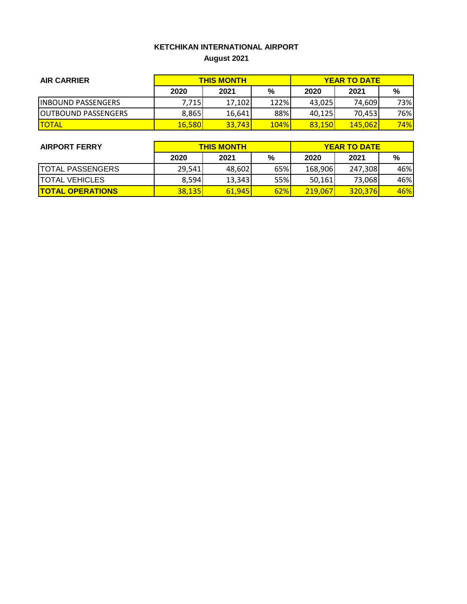## **KETCHIKAN INTERNATIONAL AIRPORT August 2021**

| <b>AIR CARRIER</b>          | <b>THIS MONTH</b> |        |             | <b>YEAR TO DATE</b> |                |            |
|-----------------------------|-------------------|--------|-------------|---------------------|----------------|------------|
|                             | 2020              | 2021   | %           | 2020                | 2021           | %          |
| <b>IINBOUND PASSENGERS</b>  | 7,715             | 17,102 | 122%        | 43,025              | 74.609         | 73%        |
| <b>JOUTBOUND PASSENGERS</b> | 8,865             | 16,641 | 88%         | 40,125              | 70.453         | 76%        |
| <b>TOTAL</b>                | 16,580            | 33,743 | <b>104%</b> | 83,150              | <b>145,062</b> | <b>74%</b> |

| <b>AIRPORT FERRY</b>    | <b>THIS MONTH</b> |        |     | <b>YEAR TO DATE</b> |         |     |  |
|-------------------------|-------------------|--------|-----|---------------------|---------|-----|--|
|                         | 2020              | 2021   | %   | 2020                | 2021    | %   |  |
| <b>TOTAL PASSENGERS</b> | 29,541            | 48,602 | 65% | 168,906             | 247,308 | 46% |  |
| <b>TOTAL VEHICLES</b>   | 8,594             | 13,343 | 55% | 50,161              | 73,068  | 46% |  |
| <b>TOTAL OPERATIONS</b> | <b>38.135</b>     | 61.945 | 62% | 219,067             | 320.376 | 46% |  |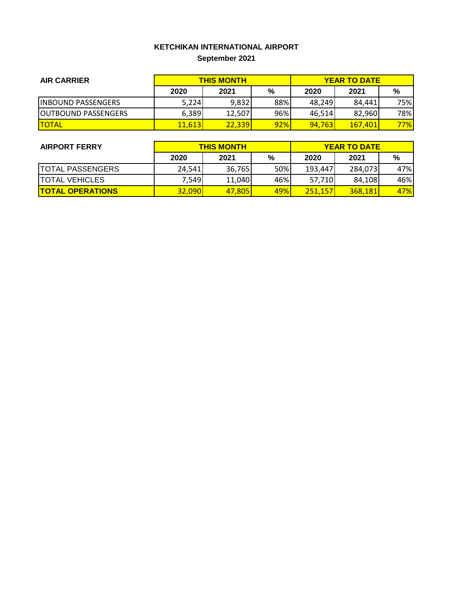# **KETCHIKAN INTERNATIONAL AIRPORT September 2021**

| <b>AIR CARRIER</b>         | <b>THIS MONTH</b> |        |     | <b>YEAR TO DATE</b> |         |     |
|----------------------------|-------------------|--------|-----|---------------------|---------|-----|
|                            | 2020              | 2021   | %   | 2020                | 2021    | %   |
| <b>IINBOUND PASSENGERS</b> | 5,224             | 9,832  | 88% | 48.249              | 84.441  | 75% |
| <b>OUTBOUND PASSENGERS</b> | 6,389             | 12,507 | 96% | 46.514              | 82.960  | 78% |
| <b>TOTAL</b>               | 11,613            | 22,339 | 92% | 94.763              | 167.401 | 77% |

| <b>AIRPORT FERRY</b>    | <b>THIS MONTH</b> |        |     | <b>YEAR TO DATE</b> |         |     |  |
|-------------------------|-------------------|--------|-----|---------------------|---------|-----|--|
|                         | 2020              | 2021   | %   | 2020                | 2021    | %   |  |
| <b>TOTAL PASSENGERS</b> | 24,541            | 36,765 | 50% | 193.447             | 284,073 | 47% |  |
| <b>TOTAL VEHICLES</b>   | 7,549             | 11,040 | 46% | 57,710              | 84,108  | 46% |  |
| <b>TOTAL OPERATIONS</b> | <b>32,090</b>     | 47,805 | 49% | 251.157             | 368.181 | 47% |  |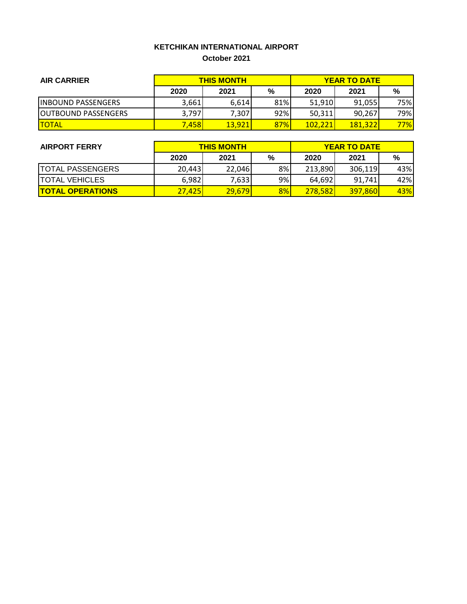#### **KETCHIKAN INTERNATIONAL AIRPORT October 2021**

| <b>AIR CARRIER</b>          | <b>THIS MONTH</b> |        |     | <b>YEAR TO DATE</b> |         |     |
|-----------------------------|-------------------|--------|-----|---------------------|---------|-----|
|                             | 2020              | 2021   | %   | 2020                | 2021    | %   |
| <b>IINBOUND PASSENGERS</b>  | 3,661             | 6,614  | 81% | 51,910              | 91.055  | 75% |
| <b>JOUTBOUND PASSENGERS</b> | 3.797             | 7,307  | 92% | 50,311              | 90.267  | 79% |
| <b>ITOTAL</b>               | 7.458l            | 13.921 | 87% | 102.221             | 181.322 | 77% |

| <b>AIRPORT FERRY</b>    | <b>THIS MONTH</b> |        |    | <b>YEAR TO DATE</b> |                |     |  |
|-------------------------|-------------------|--------|----|---------------------|----------------|-----|--|
|                         | 2020              | 2021   | %  | 2020                | 2021           | %   |  |
| <b>TOTAL PASSENGERS</b> | 20,443            | 22,046 | 8% | 213,890             | 306,119        | 43% |  |
| <b>TOTAL VEHICLES</b>   | 6,982             | 7,633  | 9% | 64,692              | 91.741         | 42% |  |
| <b>TOTAL OPERATIONS</b> | 27.425            | 29,679 | 8% | <b>278.5821</b>     | <b>397,860</b> | 43% |  |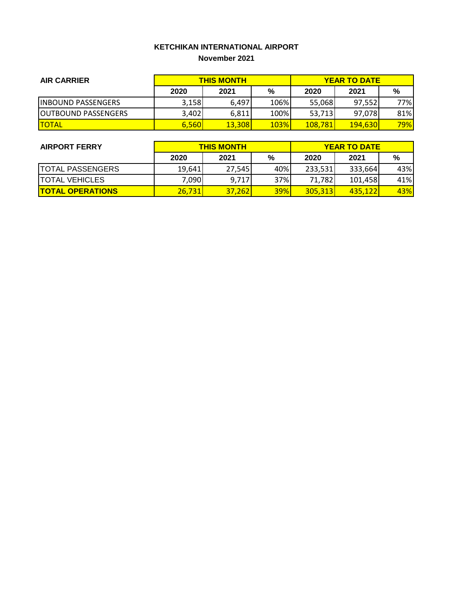#### **KETCHIKAN INTERNATIONAL AIRPORT November 2021**

| <b>AIR CARRIER</b>          | <b>THIS MONTH</b> |        |             | <b>YEAR TO DATE</b> |                |     |
|-----------------------------|-------------------|--------|-------------|---------------------|----------------|-----|
|                             | 2020              | 2021   | %           | 2020                | 2021           | %   |
| <b>IINBOUND PASSENGERS</b>  | 3,158             | 6,497  | 106%        | 55,068              | 97.5521        | 77% |
| <b>JOUTBOUND PASSENGERS</b> | 3,402             | 6,811  | 100%        | 53,713              | 97,078         | 81% |
| <b>TOTAL</b>                | 6,560             | 13,308 | <b>103%</b> | <b>108,781</b>      | <b>194,630</b> | 79% |

| <b>AIRPORT FERRY</b>    | <b>THIS MONTH</b> |        |            | <b>YEAR TO DATE</b> |         |     |  |
|-------------------------|-------------------|--------|------------|---------------------|---------|-----|--|
|                         | 2020              | 2021   | %          | 2020                | 2021    | %   |  |
| <b>TOTAL PASSENGERS</b> | 19,641            | 27.545 | 40%        | 233,531             | 333,664 | 43% |  |
| <b>TOTAL VEHICLES</b>   | 7,090             | 9,717  | 37%        | 71,782              | 101,458 | 41% |  |
| <b>TOTAL OPERATIONS</b> | 26,731            | 37,262 | <b>39%</b> | 305,313             | 435.122 | 43% |  |